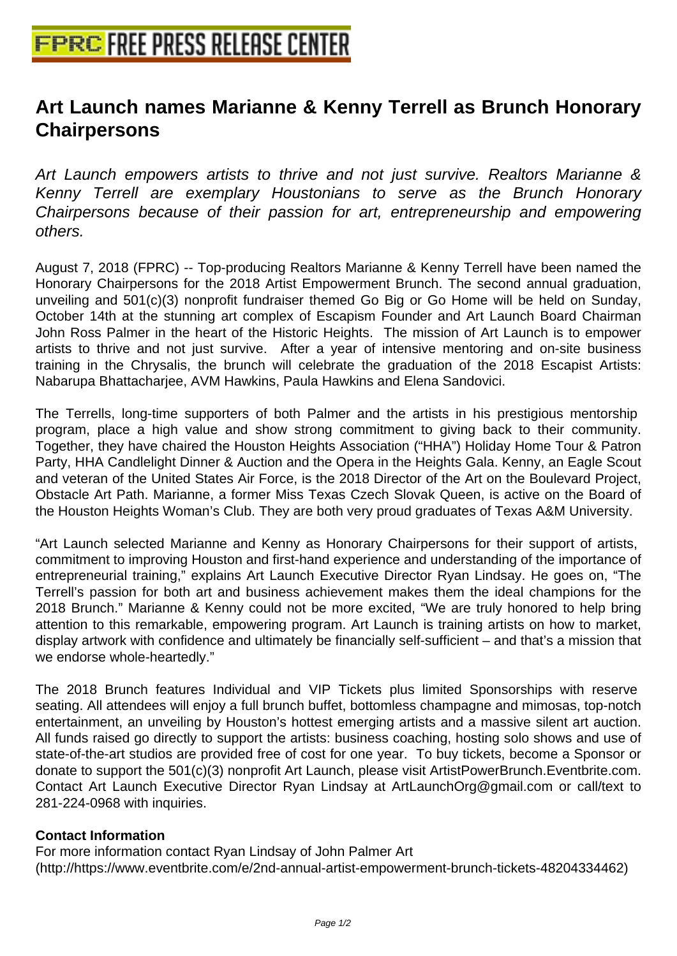## **[Art Launch names Marianne & Ken](http://www.free-press-release-center.info)ny Terrell as Brunch Honorary Chairpersons**

Art Launch empowers artists to thrive and not just survive. Realtors Marianne & Kenny Terrell are exemplary Houstonians to serve as the Brunch Honorary Chairpersons because of their passion for art, entrepreneurship and empowering others.

August 7, 2018 (FPRC) -- Top-producing Realtors Marianne & Kenny Terrell have been named the Honorary Chairpersons for the 2018 Artist Empowerment Brunch. The second annual graduation, unveiling and 501(c)(3) nonprofit fundraiser themed Go Big or Go Home will be held on Sunday, October 14th at the stunning art complex of Escapism Founder and Art Launch Board Chairman John Ross Palmer in the heart of the Historic Heights. The mission of Art Launch is to empower artists to thrive and not just survive. After a year of intensive mentoring and on-site business training in the Chrysalis, the brunch will celebrate the graduation of the 2018 Escapist Artists: Nabarupa Bhattacharjee, AVM Hawkins, Paula Hawkins and Elena Sandovici.

 The Terrells, long-time supporters of both Palmer and the artists in his prestigious mentorship program, place a high value and show strong commitment to giving back to their community. Together, they have chaired the Houston Heights Association ("HHA") Holiday Home Tour & Patron Party, HHA Candlelight Dinner & Auction and the Opera in the Heights Gala. Kenny, an Eagle Scout and veteran of the United States Air Force, is the 2018 Director of the Art on the Boulevard Project, Obstacle Art Path. Marianne, a former Miss Texas Czech Slovak Queen, is active on the Board of the Houston Heights Woman's Club. They are both very proud graduates of Texas A&M University.

 "Art Launch selected Marianne and Kenny as Honorary Chairpersons for their support of artists, commitment to improving Houston and first-hand experience and understanding of the importance of entrepreneurial training," explains Art Launch Executive Director Ryan Lindsay. He goes on, "The Terrell's passion for both art and business achievement makes them the ideal champions for the 2018 Brunch." Marianne & Kenny could not be more excited, "We are truly honored to help bring attention to this remarkable, empowering program. Art Launch is training artists on how to market, display artwork with confidence and ultimately be financially self-sufficient – and that's a mission that we endorse whole-heartedly."

 The 2018 Brunch features Individual and VIP Tickets plus limited Sponsorships with reserve seating. All attendees will enjoy a full brunch buffet, bottomless champagne and mimosas, top-notch entertainment, an unveiling by Houston's hottest emerging artists and a massive silent art auction. All funds raised go directly to support the artists: business coaching, hosting solo shows and use of state-of-the-art studios are provided free of cost for one year. To buy tickets, become a Sponsor or donate to support the 501(c)(3) nonprofit Art Launch, please visit ArtistPowerBrunch.Eventbrite.com. Contact Art Launch Executive Director Ryan Lindsay at ArtLaunchOrg@gmail.com or call/text to 281-224-0968 with inquiries.

## **Contact Information**

For more information contact Ryan Lindsay of John Palmer Art (http://https://www.eventbrite.com/e/2nd-annual-artist-empowerment-brunch-tickets-48204334462)